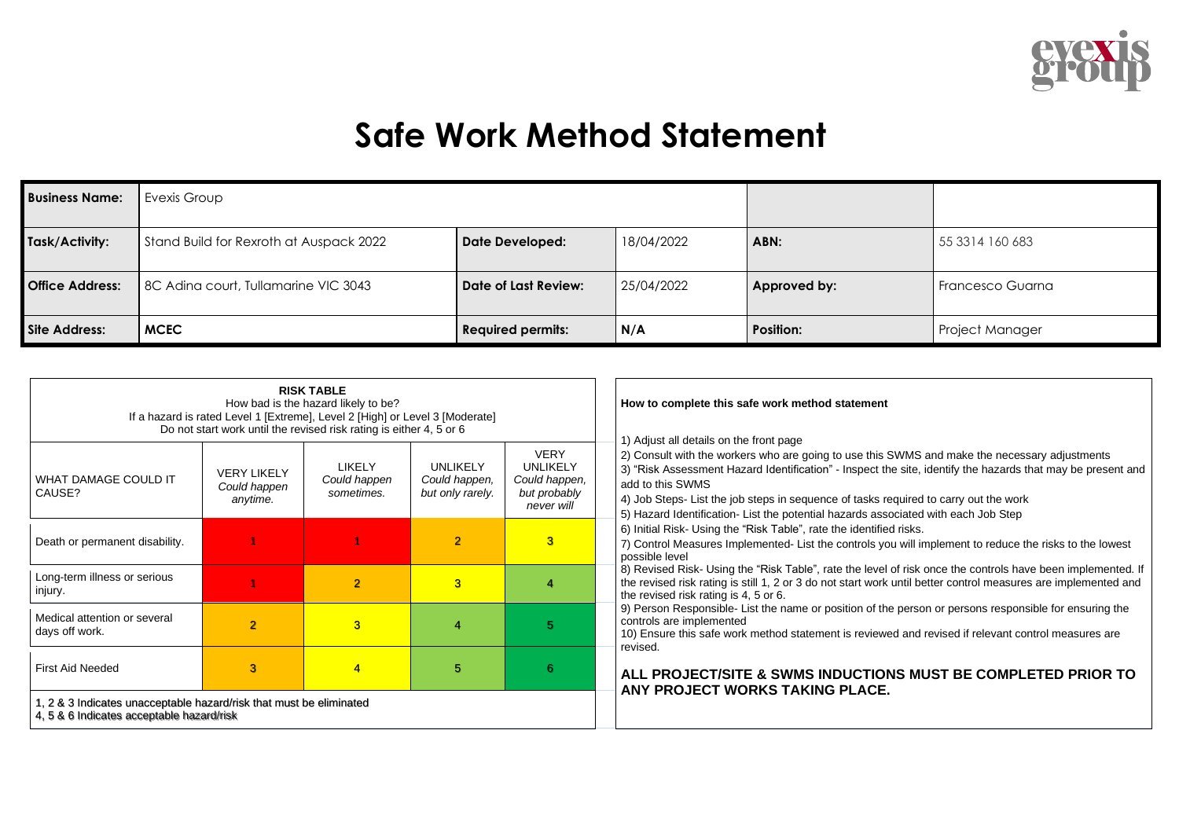

## **Safe Work Method Statement**

| <b>Business Name:</b>  | Evexis Group                            |                          |            |                  |                  |
|------------------------|-----------------------------------------|--------------------------|------------|------------------|------------------|
| Task/Activity:         | Stand Build for Rexroth at Auspack 2022 | <b>Date Developed:</b>   | 18/04/2022 | ABN:             | 55 3314 160 683  |
| <b>Office Address:</b> | 8C Adina court, Tullamarine VIC 3043    | Date of Last Review:     | 25/04/2022 | Approved by:     | Francesco Guarna |
| Site Address:          | <b>MCEC</b>                             | <b>Required permits:</b> | N/A        | <b>Position:</b> | Project Manager  |

| <b>RISK TABLE</b><br>How bad is the hazard likely to be?<br>If a hazard is rated Level 1 [Extreme], Level 2 [High] or Level 3 [Moderate]<br>Do not start work until the revised risk rating is either 4, 5 or 6 |                                                |                                      |                                                      |                                                                        | How to complete this safe work method statement                                                                                                                                                                                                                                                                                                                                                                                                           |
|-----------------------------------------------------------------------------------------------------------------------------------------------------------------------------------------------------------------|------------------------------------------------|--------------------------------------|------------------------------------------------------|------------------------------------------------------------------------|-----------------------------------------------------------------------------------------------------------------------------------------------------------------------------------------------------------------------------------------------------------------------------------------------------------------------------------------------------------------------------------------------------------------------------------------------------------|
| <b>WHAT DAMAGE COULD IT</b><br>CAUSE?                                                                                                                                                                           | <b>VERY LIKELY</b><br>Could happen<br>anytime. | LIKELY<br>Could happen<br>sometimes. | <b>UNLIKELY</b><br>Could happen,<br>but only rarely. | <b>VERY</b><br>UNLIKELY<br>Could happen,<br>but probably<br>never will | 1) Adjust all details on the front page<br>2) Consult with the workers who are going to use this SWMS and make the necessary adjustments<br>3) "Risk Assessment Hazard Identification" - Inspect the site, identify the hazards that may be present and<br>add to this SWMS<br>4) Job Steps- List the job steps in sequence of tasks required to carry out the work<br>5) Hazard Identification- List the potential hazards associated with each Job Step |
| Death or permanent disability.                                                                                                                                                                                  |                                                |                                      | $\overline{2}$                                       | $\mathbf{3}$                                                           | 6) Initial Risk- Using the "Risk Table", rate the identified risks.<br>7) Control Measures Implemented- List the controls you will implement to reduce the risks to the lowest<br>possible level                                                                                                                                                                                                                                                          |
| Long-term illness or serious<br>injury.                                                                                                                                                                         |                                                | $\overline{2}$                       | 3                                                    |                                                                        | 8) Revised Risk- Using the "Risk Table", rate the level of risk once the controls have been implemented. I<br>the revised risk rating is still 1, 2 or 3 do not start work until better control measures are implemented and<br>the revised risk rating is 4, 5 or 6.                                                                                                                                                                                     |
| Medical attention or several<br>days off work.                                                                                                                                                                  | $\overline{2}$                                 | 3                                    | 4                                                    | 5                                                                      | 9) Person Responsible- List the name or position of the person or persons responsible for ensuring the<br>controls are implemented<br>10) Ensure this safe work method statement is reviewed and revised if relevant control measures are<br>revised.                                                                                                                                                                                                     |
| <b>First Aid Needed</b>                                                                                                                                                                                         | 3                                              | $\overline{4}$                       | 5                                                    |                                                                        | ALL PROJECT/SITE & SWMS INDUCTIONS MUST BE COMPLETED PRIOR TO                                                                                                                                                                                                                                                                                                                                                                                             |
| 1, 2 & 3 Indicates unacceptable hazard/risk that must be eliminated<br>4, 5 & 6 Indicates acceptable hazard/risk                                                                                                |                                                |                                      |                                                      |                                                                        | ANY PROJECT WORKS TAKING PLACE.                                                                                                                                                                                                                                                                                                                                                                                                                           |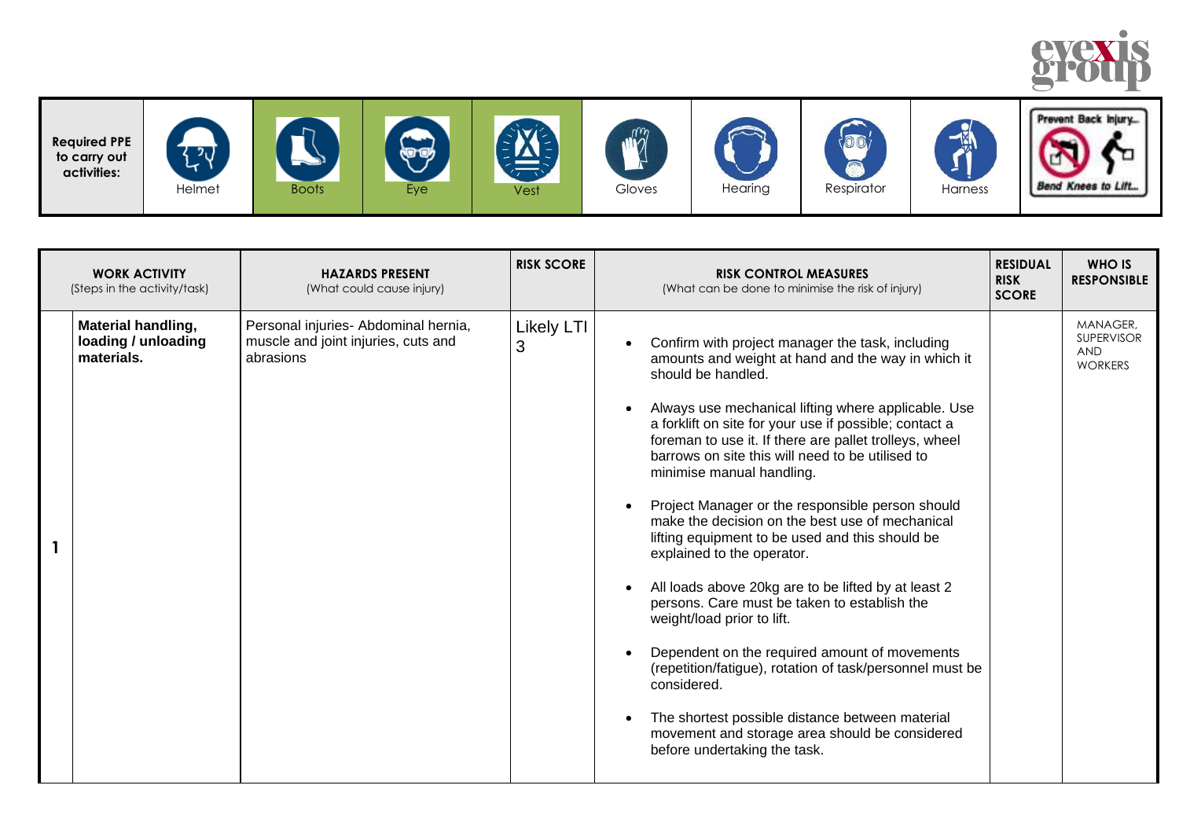



| <b>WORK ACTIVITY</b><br>(Steps in the activity/task)           | <b>HAZARDS PRESENT</b><br>(What could cause injury)                                      | <b>RISK SCORE</b> | <b>RISK CONTROL MEASURES</b><br>(What can be done to minimise the risk of injury)                                                                                                                                                                                                                                                                                                                                                                                                                                                                                                                                                                                                                                                                                                                                                                                                                                                                                                                                                                                    | <b>RESIDUAL</b><br><b>RISK</b><br><b>SCORE</b> | <b>WHO IS</b><br><b>RESPONSIBLE</b>                           |
|----------------------------------------------------------------|------------------------------------------------------------------------------------------|-------------------|----------------------------------------------------------------------------------------------------------------------------------------------------------------------------------------------------------------------------------------------------------------------------------------------------------------------------------------------------------------------------------------------------------------------------------------------------------------------------------------------------------------------------------------------------------------------------------------------------------------------------------------------------------------------------------------------------------------------------------------------------------------------------------------------------------------------------------------------------------------------------------------------------------------------------------------------------------------------------------------------------------------------------------------------------------------------|------------------------------------------------|---------------------------------------------------------------|
| <b>Material handling,</b><br>loading / unloading<br>materials. | Personal injuries- Abdominal hernia,<br>muscle and joint injuries, cuts and<br>abrasions | Likely LTI<br>3   | Confirm with project manager the task, including<br>$\bullet$<br>amounts and weight at hand and the way in which it<br>should be handled.<br>Always use mechanical lifting where applicable. Use<br>$\bullet$<br>a forklift on site for your use if possible; contact a<br>foreman to use it. If there are pallet trolleys, wheel<br>barrows on site this will need to be utilised to<br>minimise manual handling.<br>Project Manager or the responsible person should<br>$\bullet$<br>make the decision on the best use of mechanical<br>lifting equipment to be used and this should be<br>explained to the operator.<br>All loads above 20kg are to be lifted by at least 2<br>$\bullet$<br>persons. Care must be taken to establish the<br>weight/load prior to lift.<br>Dependent on the required amount of movements<br>$\bullet$<br>(repetition/fatigue), rotation of task/personnel must be<br>considered.<br>The shortest possible distance between material<br>$\bullet$<br>movement and storage area should be considered<br>before undertaking the task. |                                                | MANAGER,<br><b>SUPERVISOR</b><br><b>AND</b><br><b>WORKERS</b> |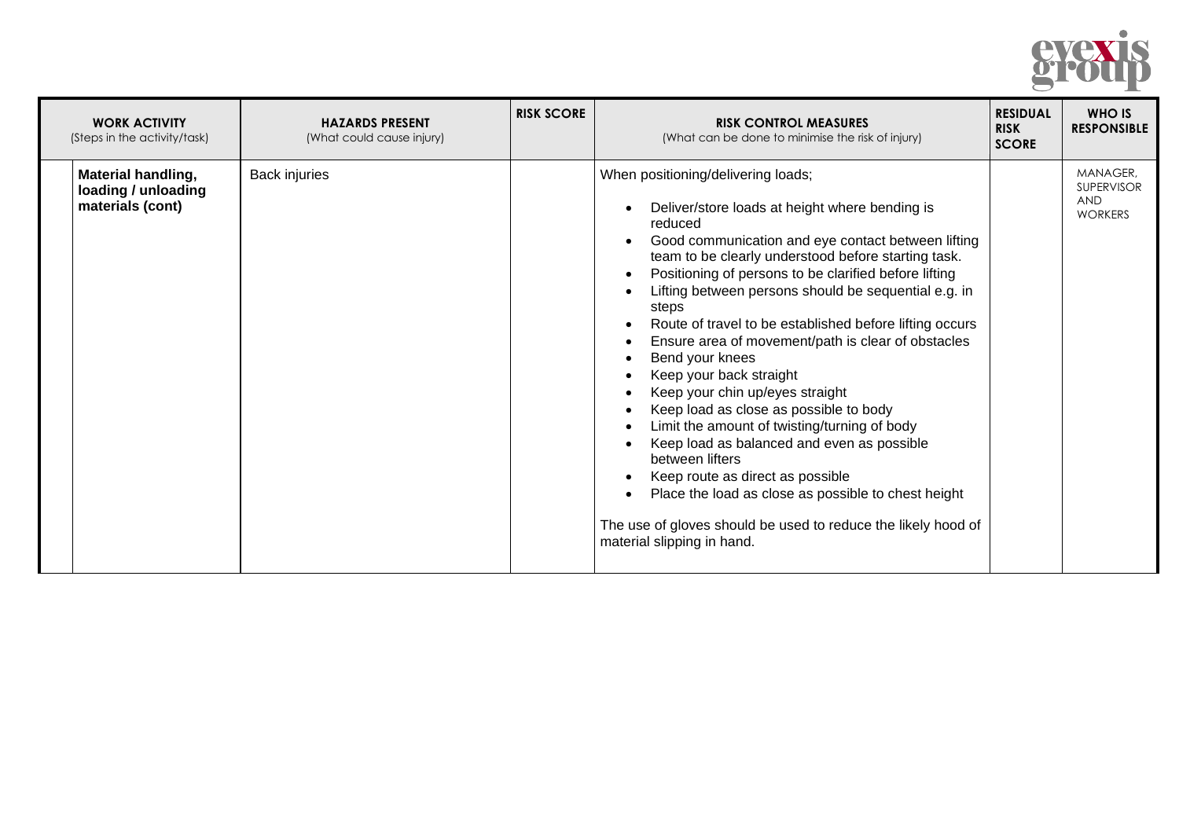

| <b>WORK ACTIVITY</b><br>(Steps in the activity/task)                 | <b>HAZARDS PRESENT</b><br>(What could cause injury) | <b>RISK SCORE</b> | <b>RISK CONTROL MEASURES</b><br>(What can be done to minimise the risk of injury)                                                                                                                                                                                                                                                                                                                                                                                                                                                                                                                                                                                                                                                                                                                                                                                                                                                                                                                                                                         | <b>RESIDUAL</b><br><b>RISK</b><br><b>SCORE</b> | <b>WHO IS</b><br><b>RESPONSIBLE</b>                           |
|----------------------------------------------------------------------|-----------------------------------------------------|-------------------|-----------------------------------------------------------------------------------------------------------------------------------------------------------------------------------------------------------------------------------------------------------------------------------------------------------------------------------------------------------------------------------------------------------------------------------------------------------------------------------------------------------------------------------------------------------------------------------------------------------------------------------------------------------------------------------------------------------------------------------------------------------------------------------------------------------------------------------------------------------------------------------------------------------------------------------------------------------------------------------------------------------------------------------------------------------|------------------------------------------------|---------------------------------------------------------------|
| <b>Material handling,</b><br>loading / unloading<br>materials (cont) | <b>Back injuries</b>                                |                   | When positioning/delivering loads;<br>Deliver/store loads at height where bending is<br>$\bullet$<br>reduced<br>Good communication and eye contact between lifting<br>$\bullet$<br>team to be clearly understood before starting task.<br>Positioning of persons to be clarified before lifting<br>$\bullet$<br>Lifting between persons should be sequential e.g. in<br>steps<br>Route of travel to be established before lifting occurs<br>$\bullet$<br>Ensure area of movement/path is clear of obstacles<br>$\bullet$<br>Bend your knees<br>$\bullet$<br>Keep your back straight<br>$\bullet$<br>Keep your chin up/eyes straight<br>$\bullet$<br>Keep load as close as possible to body<br>Limit the amount of twisting/turning of body<br>$\bullet$<br>Keep load as balanced and even as possible<br>$\bullet$<br>between lifters<br>Keep route as direct as possible<br>$\bullet$<br>Place the load as close as possible to chest height<br>$\bullet$<br>The use of gloves should be used to reduce the likely hood of<br>material slipping in hand. |                                                | MANAGER,<br><b>SUPERVISOR</b><br><b>AND</b><br><b>WORKERS</b> |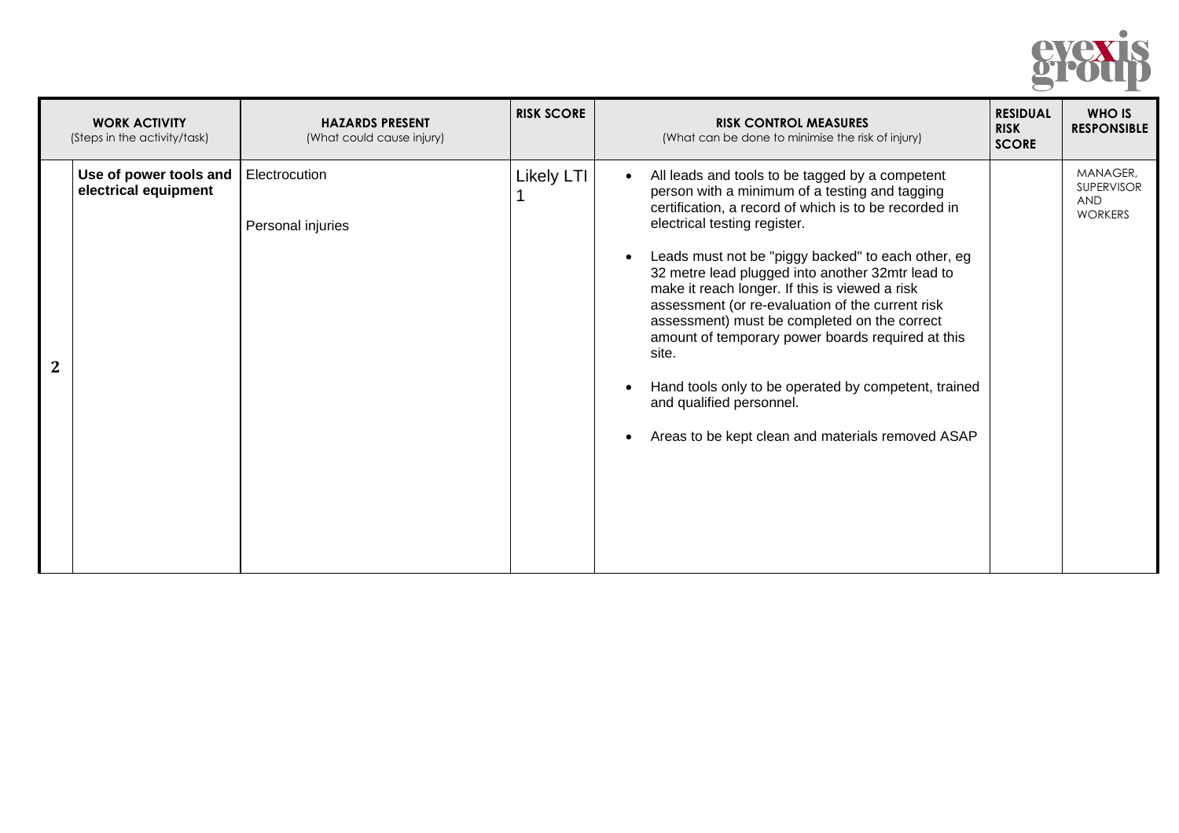

| <b>WORK ACTIVITY</b><br>(Steps in the activity/task) | <b>HAZARDS PRESENT</b><br>(What could cause injury) | <b>RISK SCORE</b> | <b>RISK CONTROL MEASURES</b><br>(What can be done to minimise the risk of injury)                                                                                                                                                                                                                                                                                                                                                                                                                                                                                                                                                                                                           | <b>RESIDUAL</b><br><b>RISK</b><br><b>SCORE</b> | <b>WHO IS</b><br><b>RESPONSIBLE</b>                           |
|------------------------------------------------------|-----------------------------------------------------|-------------------|---------------------------------------------------------------------------------------------------------------------------------------------------------------------------------------------------------------------------------------------------------------------------------------------------------------------------------------------------------------------------------------------------------------------------------------------------------------------------------------------------------------------------------------------------------------------------------------------------------------------------------------------------------------------------------------------|------------------------------------------------|---------------------------------------------------------------|
| Use of power tools and<br>electrical equipment       | Electrocution<br>Personal injuries                  | <b>Likely LTI</b> | All leads and tools to be tagged by a competent<br>$\bullet$<br>person with a minimum of a testing and tagging<br>certification, a record of which is to be recorded in<br>electrical testing register.<br>Leads must not be "piggy backed" to each other, eg<br>$\bullet$<br>32 metre lead plugged into another 32mtr lead to<br>make it reach longer. If this is viewed a risk<br>assessment (or re-evaluation of the current risk<br>assessment) must be completed on the correct<br>amount of temporary power boards required at this<br>site.<br>Hand tools only to be operated by competent, trained<br>and qualified personnel.<br>Areas to be kept clean and materials removed ASAP |                                                | MANAGER,<br><b>SUPERVISOR</b><br><b>AND</b><br><b>WORKERS</b> |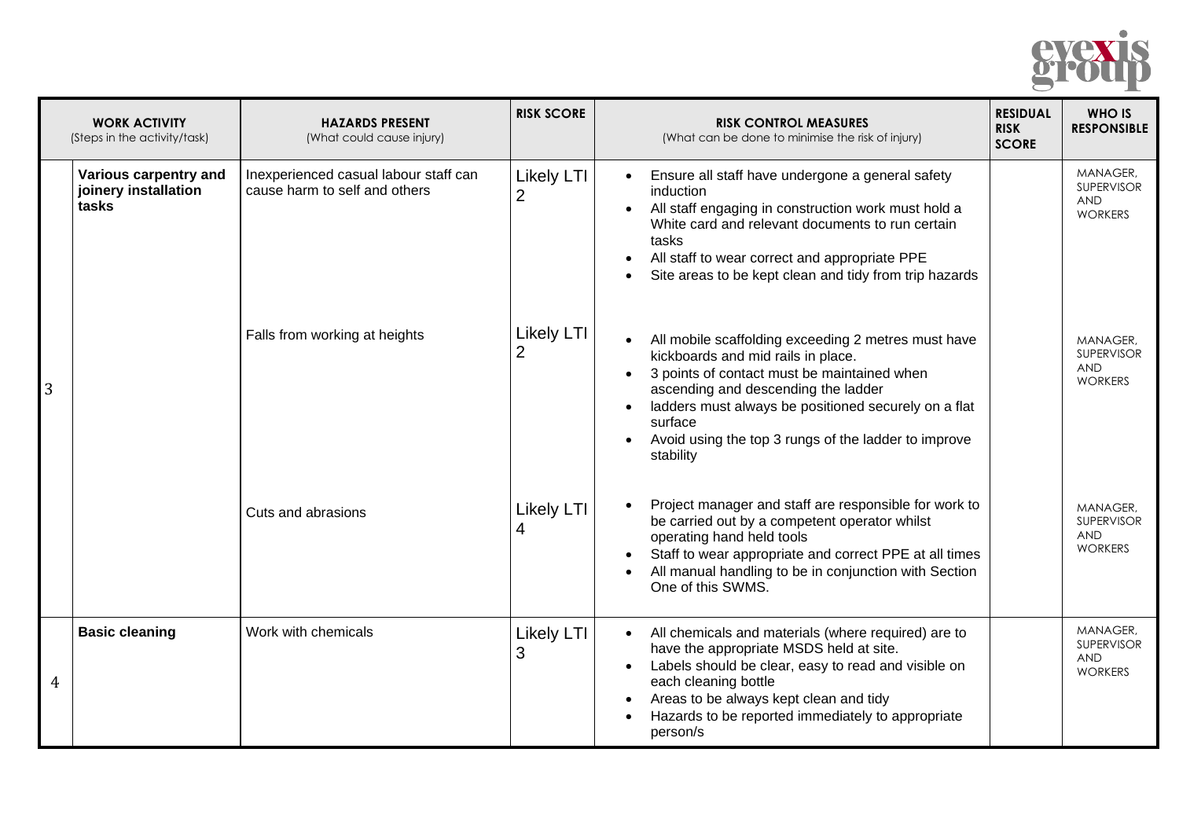

|   | <b>WORK ACTIVITY</b><br>(Steps in the activity/task)   | <b>HAZARDS PRESENT</b><br>(What could cause injury)                    | <b>RISK SCORE</b>                   | <b>RISK CONTROL MEASURES</b><br>(What can be done to minimise the risk of injury)                                                                                                                                                                                                                                                                                           | <b>RESIDUAL</b><br><b>RISK</b><br><b>SCORE</b> | <b>WHO IS</b><br><b>RESPONSIBLE</b>                           |
|---|--------------------------------------------------------|------------------------------------------------------------------------|-------------------------------------|-----------------------------------------------------------------------------------------------------------------------------------------------------------------------------------------------------------------------------------------------------------------------------------------------------------------------------------------------------------------------------|------------------------------------------------|---------------------------------------------------------------|
|   | Various carpentry and<br>joinery installation<br>tasks | Inexperienced casual labour staff can<br>cause harm to self and others | <b>Likely LTI</b><br>$\overline{2}$ | Ensure all staff have undergone a general safety<br>induction<br>All staff engaging in construction work must hold a<br>$\bullet$<br>White card and relevant documents to run certain<br>tasks<br>All staff to wear correct and appropriate PPE<br>$\bullet$<br>Site areas to be kept clean and tidy from trip hazards<br>$\bullet$                                         |                                                | MANAGER,<br>SUPERVISOR<br><b>AND</b><br><b>WORKERS</b>        |
| 3 |                                                        | Falls from working at heights                                          | Likely LTI<br>$\overline{2}$        | All mobile scaffolding exceeding 2 metres must have<br>$\bullet$<br>kickboards and mid rails in place.<br>3 points of contact must be maintained when<br>$\bullet$<br>ascending and descending the ladder<br>ladders must always be positioned securely on a flat<br>$\bullet$<br>surface<br>Avoid using the top 3 rungs of the ladder to improve<br>$\bullet$<br>stability |                                                | MANAGER,<br>SUPERVISOR<br><b>AND</b><br><b>WORKERS</b>        |
|   |                                                        | Cuts and abrasions                                                     | <b>Likely LTI</b><br>4              | Project manager and staff are responsible for work to<br>be carried out by a competent operator whilst<br>operating hand held tools<br>Staff to wear appropriate and correct PPE at all times<br>All manual handling to be in conjunction with Section<br>One of this SWMS.                                                                                                 |                                                | MANAGER,<br>SUPERVISOR<br><b>AND</b><br><b>WORKERS</b>        |
| 4 | <b>Basic cleaning</b>                                  | Work with chemicals                                                    | <b>Likely LTI</b><br>3              | All chemicals and materials (where required) are to<br>$\bullet$<br>have the appropriate MSDS held at site.<br>Labels should be clear, easy to read and visible on<br>$\bullet$<br>each cleaning bottle<br>Areas to be always kept clean and tidy<br>$\bullet$<br>Hazards to be reported immediately to appropriate<br>$\bullet$<br>person/s                                |                                                | MANAGER,<br><b>SUPERVISOR</b><br><b>AND</b><br><b>WORKERS</b> |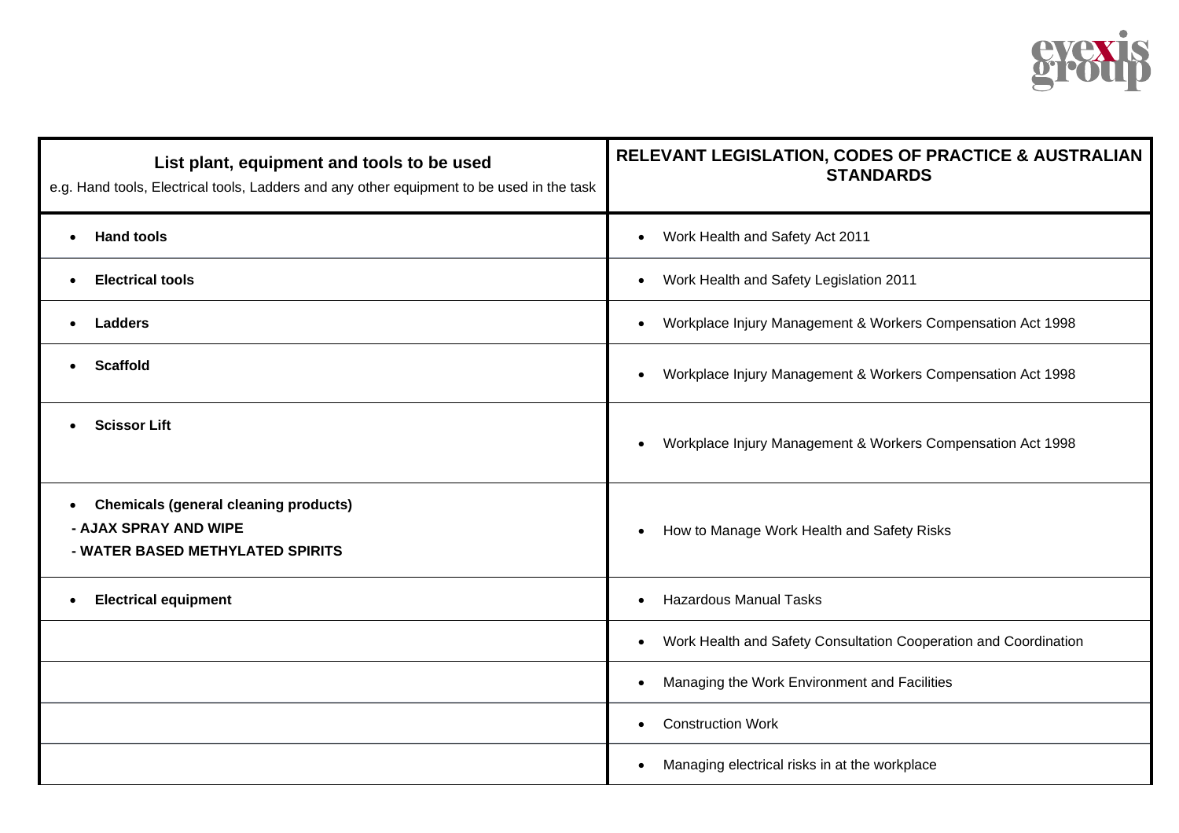

| List plant, equipment and tools to be used<br>e.g. Hand tools, Electrical tools, Ladders and any other equipment to be used in the task | RELEVANT LEGISLATION, CODES OF PRACTICE & AUSTRALIAN<br><b>STANDARDS</b>      |
|-----------------------------------------------------------------------------------------------------------------------------------------|-------------------------------------------------------------------------------|
| <b>Hand tools</b><br>$\bullet$                                                                                                          | Work Health and Safety Act 2011<br>$\bullet$                                  |
| <b>Electrical tools</b><br>$\bullet$                                                                                                    | Work Health and Safety Legislation 2011<br>$\bullet$                          |
| <b>Ladders</b><br>$\bullet$                                                                                                             | Workplace Injury Management & Workers Compensation Act 1998<br>$\bullet$      |
| <b>Scaffold</b><br>$\bullet$                                                                                                            | Workplace Injury Management & Workers Compensation Act 1998<br>$\bullet$      |
| <b>Scissor Lift</b>                                                                                                                     | Workplace Injury Management & Workers Compensation Act 1998<br>$\bullet$      |
| <b>Chemicals (general cleaning products)</b><br>$\bullet$<br>- AJAX SPRAY AND WIPE<br>- WATER BASED METHYLATED SPIRITS                  | How to Manage Work Health and Safety Risks<br>$\bullet$                       |
| <b>Electrical equipment</b><br>$\bullet$                                                                                                | <b>Hazardous Manual Tasks</b>                                                 |
|                                                                                                                                         | Work Health and Safety Consultation Cooperation and Coordination<br>$\bullet$ |
|                                                                                                                                         | Managing the Work Environment and Facilities<br>$\bullet$                     |
|                                                                                                                                         | <b>Construction Work</b><br>$\bullet$                                         |
|                                                                                                                                         | Managing electrical risks in at the workplace<br>$\bullet$                    |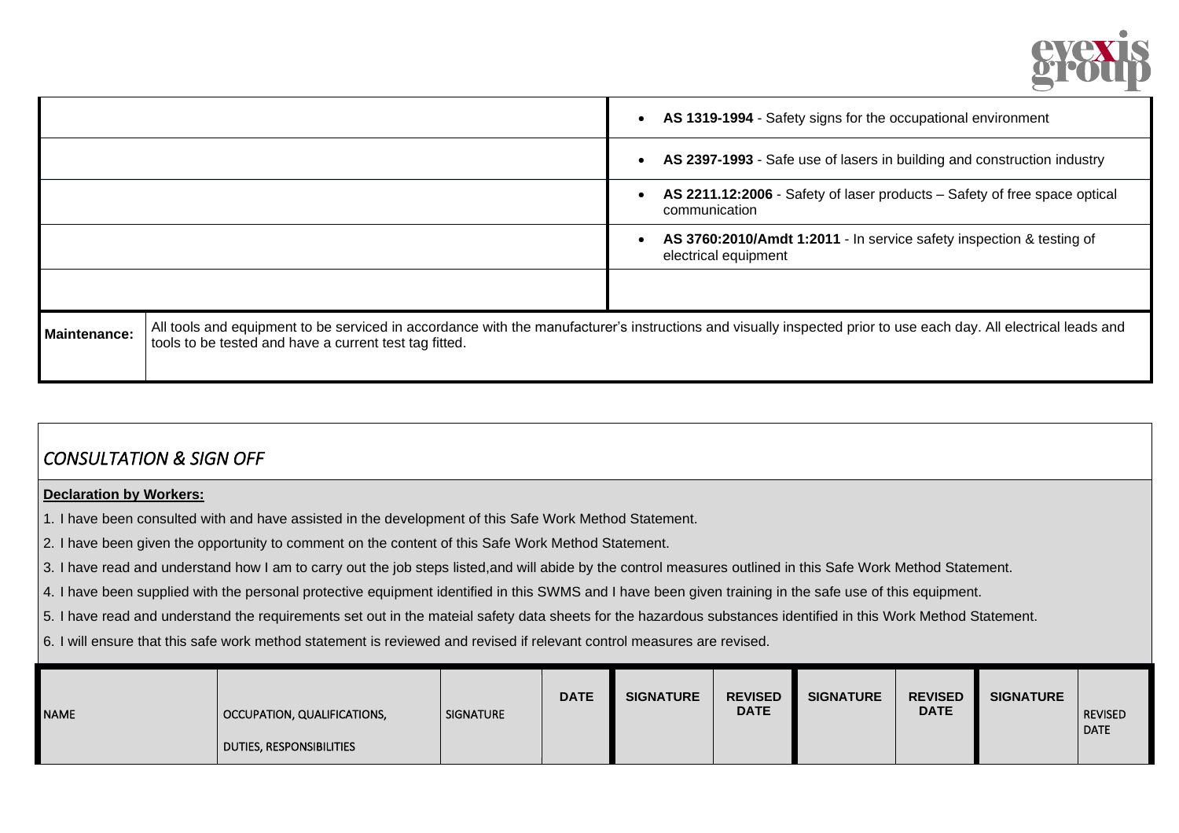

|                     |                                                        | $\bullet$ | AS 1319-1994 - Safety signs for the occupational environment                                                                                                     |
|---------------------|--------------------------------------------------------|-----------|------------------------------------------------------------------------------------------------------------------------------------------------------------------|
|                     |                                                        |           | AS 2397-1993 - Safe use of lasers in building and construction industry                                                                                          |
|                     |                                                        |           | AS 2211.12:2006 - Safety of laser products - Safety of free space optical<br>communication                                                                       |
|                     |                                                        |           | AS 3760:2010/Amdt 1:2011 - In service safety inspection & testing of<br>electrical equipment                                                                     |
|                     |                                                        |           |                                                                                                                                                                  |
| <b>Maintenance:</b> | tools to be tested and have a current test tag fitted. |           | All tools and equipment to be serviced in accordance with the manufacturer's instructions and visually inspected prior to use each day. All electrical leads and |

## *CONSULTATION & SIGN OFF*

## **Declaration by Workers:**

1. I have been consulted with and have assisted in the development of this Safe Work Method Statement.

2. I have been given the opportunity to comment on the content of this Safe Work Method Statement.

3. I have read and understand how I am to carry out the job steps listed,and will abide by the control measures outlined in this Safe Work Method Statement.

4. I have been supplied with the personal protective equipment identified in this SWMS and I have been given training in the safe use of this equipment.

5. I have read and understand the requirements set out in the mateial safety data sheets for the hazardous substances identified in this Work Method Statement.

6. I will ensure that this safe work method statement is reviewed and revised if relevant control measures are revised.

| <b>REVISED</b><br><b>DATE</b><br><b>SIGNATURE</b><br><b>DATE</b><br><b>SIGNATURE</b><br><b>NAME</b><br>  OCCUPATION, QUALIFICATIONS,<br>DUTIES, RESPONSIBILITIES | <b>REVISED</b><br><b>SIGNATURE</b><br><b>DATE</b> | <b>SIGNATURE</b> | <b>REVISED</b><br><b>DATE</b> |
|------------------------------------------------------------------------------------------------------------------------------------------------------------------|---------------------------------------------------|------------------|-------------------------------|
|------------------------------------------------------------------------------------------------------------------------------------------------------------------|---------------------------------------------------|------------------|-------------------------------|